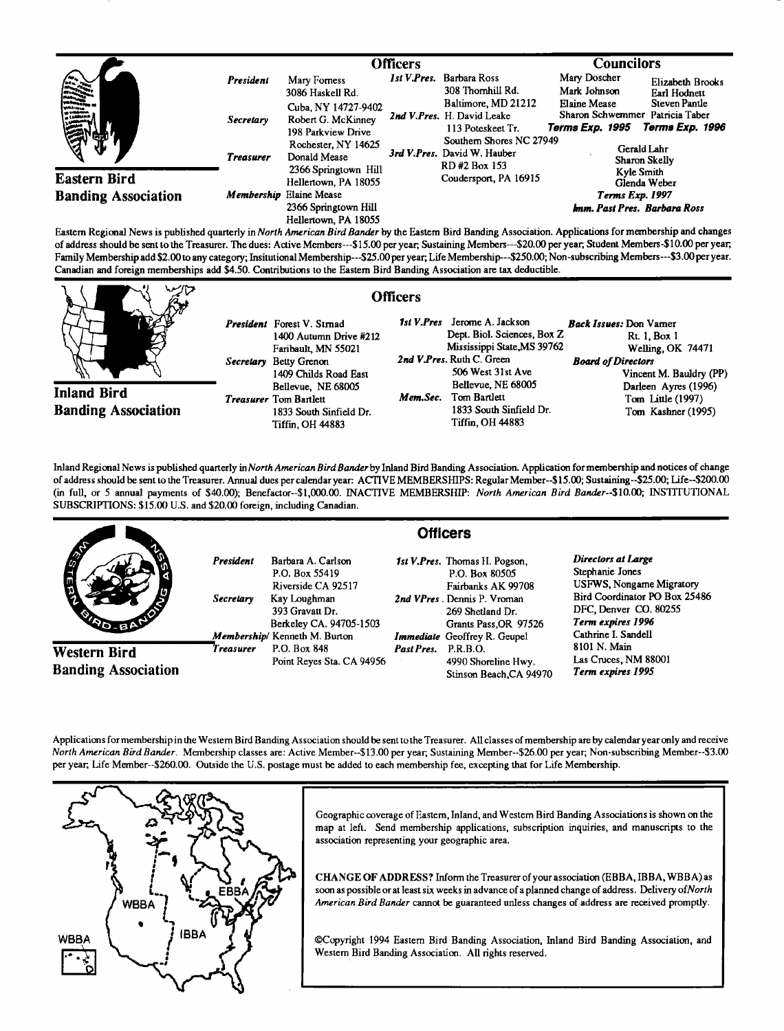|                            |                  | <b>Officers</b>                                                                                                                                        |  |                                                                                                                                                                                                                                | <b>Councilors</b>                                                  |                                                            |  |
|----------------------------|------------------|--------------------------------------------------------------------------------------------------------------------------------------------------------|--|--------------------------------------------------------------------------------------------------------------------------------------------------------------------------------------------------------------------------------|--------------------------------------------------------------------|------------------------------------------------------------|--|
| ₩<br><b>Eastern Bird</b>   | President        | Mary Formess<br>3086 Haskell Rd.                                                                                                                       |  | Ist V.Pres. Barbara Ross<br>308 Thornhill Rd.                                                                                                                                                                                  | Mary Doscher<br>Mark Johnson                                       | Elizabeth Brooks<br>Earl Hodnett                           |  |
|                            | <b>Secretary</b> | Cuba, NY 14727-9402<br>Robert G. McKinney<br>198 Parkview Drive<br>Rochester, NY 14625<br>Donald Mease<br>2366 Springtown Hill<br>Hellertown, PA 18055 |  | Baltimore, MD 21212<br>2nd V.Pres. H. David Leake<br>113 Poteskeet Tr.<br>Southern Shores NC 27949<br>3rd V.Pres. David W. Hauber<br>RD#2 Box 153<br>Coudersport, PA 16915                                                     | Elaine Mease<br>Sharon Schwemmer Patricia Taber<br>Terms Exp. 1995 | Steven Pantle<br>Terms Exp. 1996                           |  |
|                            | <b>Treasurer</b> |                                                                                                                                                        |  |                                                                                                                                                                                                                                |                                                                    | Gerald Lahr<br>Sharon Skelly<br>Kyle Smith<br>Glenda Weber |  |
| <b>Banding Association</b> |                  | Membership Elaine Mease<br>2366 Springtown Hill                                                                                                        |  |                                                                                                                                                                                                                                | Terms Exp. 1997<br>lmm. Past Pres. Barbara Ross                    |                                                            |  |
| .<br>.                     | .                | Hellertown, PA 18055<br>.                                                                                                                              |  | the sense of the contract of the contract of the contract of the contract of the contract of the contract of the contract of the contract of the contract of the contract of the contract of the contract of the contract of t |                                                                    |                                                            |  |

**Eastern Regional News is published quarterly inNorth American Bird Bander by the Eastern Bird Banding Association. Applications for membership and changes of address should be sent to the Treasurer. The dues: Active Members---\$15.00 per year, Sustaining Members---S20.00 per year, Student Members-\$10.00 per year, Family Membership add \$2.00 to any category; Insitutional Membership---S25.00 per year, Life Membership---S250.00; Non-subscribing Members---S3.00 per year. Canadian and foreign memberships add \$4.50. Contributions to the Eastern Bird Banding Association are tax deductible.** 



**Inland Bird Banding Association** 

**President Forest V. Stmad 1400 Autumn Drive #212 Faribault, MN 55021 Secretary Betty Grenon 1409 Childs Road East Bellevue, NE 68005 Treasurer Tom Bartleu 1833 South Sinfield Dr. Tiffin, OH 44883** 

**Officers** 

1st V.Pres Jerome A. Jackson **Dept. Biol. Sciences, Box Z Mississippi State,MS 39762**  2nd V.Pres. Ruth C. Green **506 West 31st Ave Bellevue, NE 68005**  Mem.Sec. Tom Bartlett **1833 South Sinfield Dr. Tiffin, OH 44883 Back Issues: Don Vamer Rt. 1, Box 1 Welling, OK 74471 Board of Directors Vincent M. Bauldry (PP) Darleen Ayres (1996) Tom Little (1997) Tom Kashner (1995)** 

Inland Regional News is published quarterly in North American Bird Bander by Inland Bird Banding Association. Application for membership and notices of change **of address should be sent to the Treasurer. Annual dues percalendar year: ACTIVE MEMBERSHIPS: Regular Member--\$15.00; Sustaining--S25.00; Life--S200.00 (in full, or 5 annual payments of \$40.00); Benefactor--S1,000.00. INACTIVE MEMBERSHIP: North American Bird Bander--S10.00; INSTITUTIONAL SUBSCRIPTIONS: \$15.00 U.S. and \$20.00 foreign, including Canadian.** 

|                                            | <b>Officers</b>               |                                                                                                                                                           |            |                                                                                                                                                                                          |                                                                                                                                                                                |  |  |
|--------------------------------------------|-------------------------------|-----------------------------------------------------------------------------------------------------------------------------------------------------------|------------|------------------------------------------------------------------------------------------------------------------------------------------------------------------------------------------|--------------------------------------------------------------------------------------------------------------------------------------------------------------------------------|--|--|
| <b>SLORE!</b>                              | President<br><b>Secretary</b> | Barbara A. Carlson<br>P.O. Box 55419<br>Riverside CA 92517<br>Kay Loughman<br>393 Gravatt Dr.<br>Berkeley CA. 94705-1503<br>Membership/ Kenneth M. Burton |            | 1st V.Pres. Thomas H. Pogson,<br>P.O. Box 80505<br>Fairbanks AK 99708<br>2nd VPres. Dennis P. Vroman<br>269 Shetland Dr.<br>Grants Pass, OR 97526<br><b>Immediate</b> Geoffrey R. Geupel | Directors at Large<br>Stephanie Jones<br><b>USFWS, Nongame Migratory</b><br>Bird Coordinator PO Box 25486<br>DFC, Denver CO. 80255<br>Term expires 1996<br>Cathrine I. Sandell |  |  |
| Western Bird<br><b>Banding Association</b> | Treasurer                     | P.O. Box 848<br>Point Reyes Sta. CA 94956                                                                                                                 | Past Pres. | <b>P.R.B.O.</b><br>4990 Shoreline Hwy.<br>Stinson Beach, CA 94970                                                                                                                        | 8101 N. Main<br>Las Cruces, NM 88001<br>Term expires 1995                                                                                                                      |  |  |

Applications for membership in the Western Bird Banding Association should be sent to the Treasurer. All classes of membership are by calendar year only and receive **North American Bird Bander. Membership classes are: Active Member--S13.00 per year, Sustaining Member--S26.00 per year, Non-subscribing Member--S3.00 per year, Life Member--S260.00. Outside the U.S. postage must be added to each membership fee, excepting that for Life Membership.** 



Geographic coverage of Eastern, Inland, and Western Bird Banding Associations is shown on the map at left. Send membership applications, subscription inquiries, and manuscripts to the **association representing your geographic area.** 

**CHANGE OF ADDRESS? Inform the Treasurer of your association (EBBA, IBBA, WBBA) as**  soon as possible or at least six weeks in advance of a planned change of address. Delivery of North **American Bird Bander cannot be guaranteed unless changes of address are received promptly.** 

©Copyright 1994 Eastern Bird Banding Association, Inland Bird Banding Association, and Western Bird Banding Association. All rights reserved.